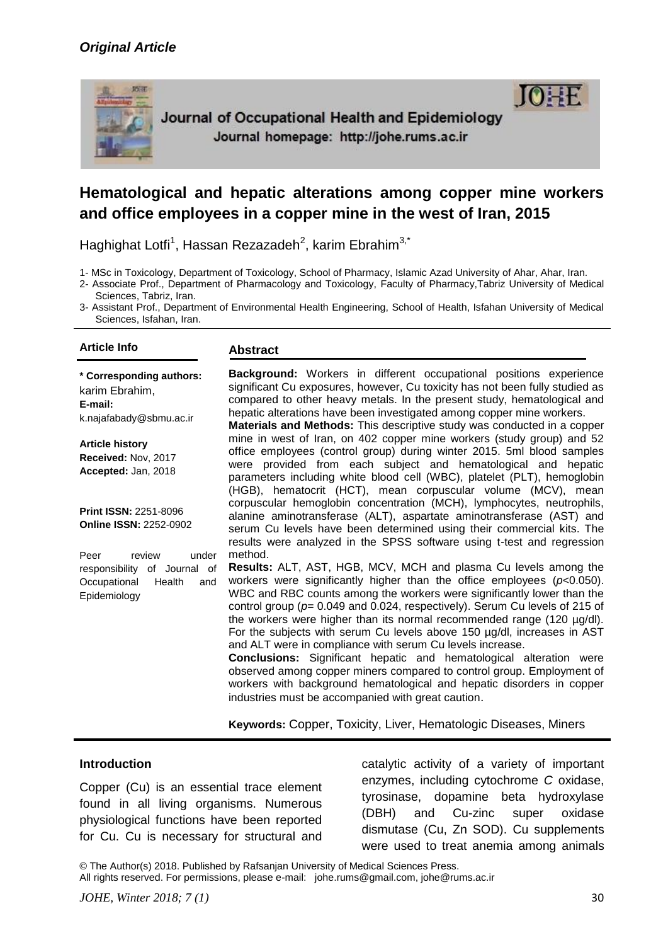## *Original Article*



Journal of Occupational Health and Epidemiology Journal homepage: http://johe.rums.ac.ir



# **Hematological and hepatic alterations among copper mine workers and office employees in a copper mine in the west of Iran, 2015**

Haghighat Lotfi<sup>1</sup>, Hassan Rezazadeh<sup>2</sup>, karim Ebrahim<sup>3,\*</sup>

1- MSc in Toxicology, Department of Toxicology, School of Pharmacy, Islamic Azad University of Ahar, Ahar, Iran.

- 2- Associate Prof., Department of Pharmacology and Toxicology, Faculty of Pharmacy,Tabriz University of Medical Sciences, Tabriz, Iran.
- 3- Assistant Prof., Department of Environmental Health Engineering, School of Health, Isfahan University of Medical Sciences, Isfahan, Iran.

## **Article Info Abstract**

**\* Corresponding authors:** karim Ebrahim, **E-mail:**  k.najafabady@sbmu.ac.ir

**Article history Received:** Nov, 2017 **Accepted:** Jan, 2018

**Print ISSN:** 2251-8096 **Online ISSN:** 2252-0902

Peer review under responsibility of Journal of Occupational Health and Epidemiology

**Background:** Workers in different occupational positions experience significant Cu exposures, however, Cu toxicity has not been fully studied as compared to other heavy metals. In the present study, hematological and hepatic alterations have been investigated among copper mine workers.

**Materials and Methods:** This descriptive study was conducted in a copper mine in west of Iran, on 402 copper mine workers (study group) and 52 office employees (control group) during winter 2015. 5ml blood samples were provided from each subject and hematological and hepatic parameters including white blood cell (WBC), platelet (PLT), hemoglobin (HGB), hematocrit (HCT), mean corpuscular volume (MCV), mean corpuscular hemoglobin concentration (MCH), lymphocytes, neutrophils, alanine aminotransferase (ALT), aspartate aminotransferase (AST) and serum Cu levels have been determined using their commercial kits. The results were analyzed in the SPSS software using t-test and regression method.

**Results:** ALT, AST, HGB, MCV, MCH and plasma Cu levels among the workers were significantly higher than the office employees (*p*<0.050). WBC and RBC counts among the workers were significantly lower than the control group (*p*= 0.049 and 0.024, respectively). Serum Cu levels of 215 of the workers were higher than its normal recommended range (120 µg/dl). For the subjects with serum Cu levels above 150 µg/dl, increases in AST and ALT were in compliance with serum Cu levels increase.

**Conclusions:** Significant hepatic and hematological alteration were observed among copper miners compared to control group. Employment of workers with background hematological and hepatic disorders in copper industries must be accompanied with great caution.

**Keywords:** Copper, Toxicity, Liver, Hematologic Diseases, Miners

#### **Introduction**

Copper (Cu) is an essential trace element found in all living organisms. Numerous physiological functions have been reported for Cu. Cu is necessary for structural and

catalytic activity of a variety of important enzymes, including cytochrome *C* oxidase, tyrosinase, dopamine beta hydroxylase (DBH) and Cu-zinc super oxidase dismutase (Cu, Zn SOD). Cu supplements were used to treat anemia among animals

© The Author(s) 2018. Published by Rafsanjan University of Medical Sciences Press. All rights reserved. For permissions, please e-mail: johe.rums@gmail.com, johe@rums.ac.ir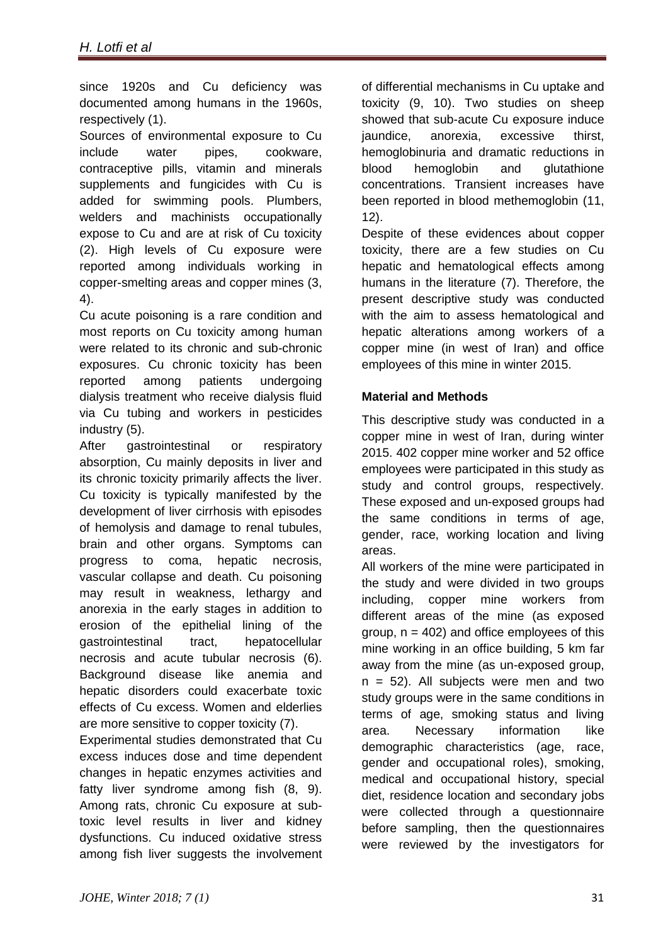since 1920s and Cu deficiency was documented among humans in the 1960s, respectively (1).

Sources of environmental exposure to Cu include water pipes, cookware, contraceptive pills, vitamin and minerals supplements and fungicides with Cu is added for swimming pools. Plumbers, welders and machinists occupationally expose to Cu and are at risk of Cu toxicity (2). High levels of Cu exposure were reported among individuals working in copper-smelting areas and copper mines (3, 4).

Cu acute poisoning is a rare condition and most reports on Cu toxicity among human were related to its chronic and sub-chronic exposures. Cu chronic toxicity has been reported among patients undergoing dialysis treatment who receive dialysis fluid via Cu tubing and workers in pesticides industry (5).

After gastrointestinal or respiratory absorption, Cu mainly deposits in liver and its chronic toxicity primarily affects the liver. Cu toxicity is typically manifested by the development of liver cirrhosis with episodes of hemolysis and damage to renal tubules, brain and other organs. Symptoms can progress to coma, hepatic necrosis, vascular collapse and death. Cu poisoning may result in weakness, lethargy and anorexia in the early stages in addition to erosion of the epithelial lining of the gastrointestinal tract, hepatocellular necrosis and acute tubular necrosis (6). Background disease like anemia and hepatic disorders could exacerbate toxic effects of Cu excess. Women and elderlies are more sensitive to copper toxicity (7).

Experimental studies demonstrated that Cu excess induces dose and time dependent changes in hepatic enzymes activities and fatty liver syndrome among fish (8, 9). Among rats, chronic Cu exposure at subtoxic level results in liver and kidney dysfunctions. Cu induced oxidative stress among fish liver suggests the involvement of differential mechanisms in Cu uptake and toxicity (9, 10). Two studies on sheep showed that sub-acute Cu exposure induce jaundice, anorexia, excessive thirst, hemoglobinuria and dramatic reductions in blood hemoglobin and glutathione concentrations. Transient increases have been reported in blood methemoglobin (11, 12).

Despite of these evidences about copper toxicity, there are a few studies on Cu hepatic and hematological effects among humans in the literature (7). Therefore, the present descriptive study was conducted with the aim to assess hematological and hepatic alterations among workers of a copper mine (in west of Iran) and office employees of this mine in winter 2015.

## **Material and Methods**

This descriptive study was conducted in a copper mine in west of Iran, during winter 2015. 402 copper mine worker and 52 office employees were participated in this study as study and control groups, respectively. These exposed and un-exposed groups had the same conditions in terms of age, gender, race, working location and living areas.

All workers of the mine were participated in the study and were divided in two groups including, copper mine workers from different areas of the mine (as exposed group,  $n = 402$ ) and office employees of this mine working in an office building, 5 km far away from the mine (as un-exposed group,  $n = 52$ ). All subjects were men and two study groups were in the same conditions in terms of age, smoking status and living area. Necessary information like demographic characteristics (age, race, gender and occupational roles), smoking, medical and occupational history, special diet, residence location and secondary jobs were collected through a questionnaire before sampling, then the questionnaires were reviewed by the investigators for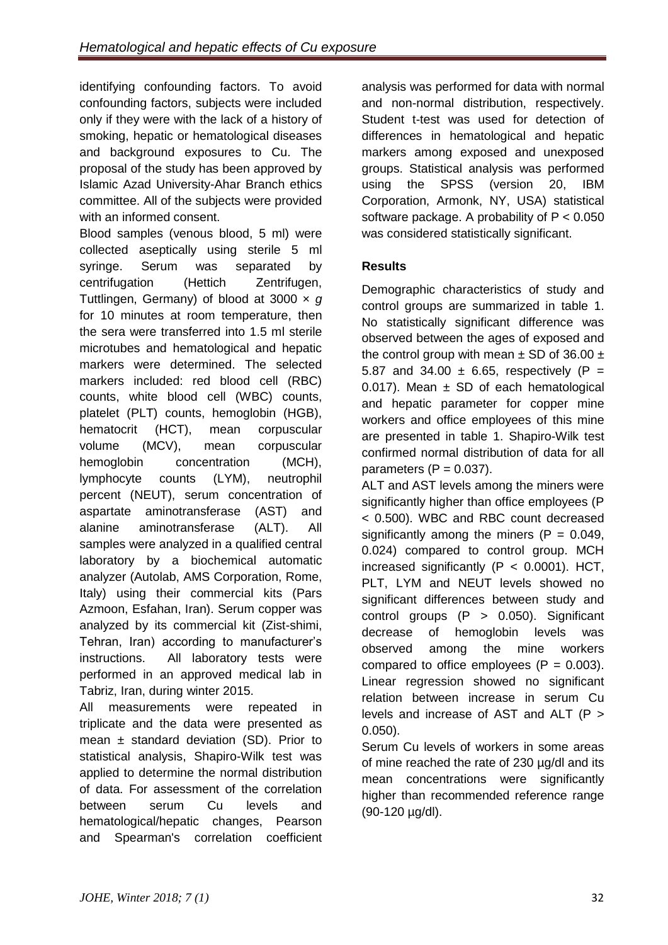identifying confounding factors. To avoid confounding factors, subjects were included only if they were with the lack of a history of smoking, hepatic or hematological diseases and background exposures to Cu. The proposal of the study has been approved by Islamic Azad University-Ahar Branch ethics committee. All of the subjects were provided with an informed consent.

Blood samples (venous blood, 5 ml) were collected aseptically using sterile 5 ml syringe. Serum was separated by centrifugation (Hettich Zentrifugen, Tuttlingen, Germany) of blood at 3000 × *g* for 10 minutes at room temperature, then the sera were transferred into 1.5 ml sterile microtubes and hematological and hepatic markers were determined. The selected markers included: red blood cell (RBC) counts, white blood cell (WBC) counts, platelet (PLT) counts, hemoglobin (HGB), hematocrit (HCT), mean corpuscular volume (MCV), mean corpuscular hemoglobin concentration (MCH), lymphocyte counts (LYM), neutrophil percent (NEUT), serum concentration of aspartate aminotransferase (AST) and alanine aminotransferase (ALT). All samples were analyzed in a qualified central laboratory by a biochemical automatic analyzer (Autolab, AMS Corporation, Rome, Italy) using their commercial kits (Pars Azmoon, Esfahan, Iran). Serum copper was analyzed by its commercial kit (Zist-shimi, Tehran, Iran) according to manufacturer's instructions. All laboratory tests were performed in an approved medical lab in Tabriz, Iran, during winter 2015.

All measurements were repeated in triplicate and the data were presented as mean  $\pm$  standard deviation (SD). Prior to statistical analysis, Shapiro-Wilk test was applied to determine the normal distribution of data. For assessment of the correlation between serum Cu levels and hematological/hepatic changes, Pearson and Spearman's correlation coefficient

analysis was performed for data with normal and non-normal distribution, respectively. Student t-test was used for detection of differences in hematological and hepatic markers among exposed and unexposed groups. Statistical analysis was performed using the SPSS (version 20, IBM Corporation, Armonk, NY, USA) statistical software package. A probability of P < 0.050 was considered statistically significant.

## **Results**

Demographic characteristics of study and control groups are summarized in table 1. No statistically significant difference was observed between the ages of exposed and the control group with mean  $\pm$  SD of 36.00  $\pm$ 5.87 and 34.00  $\pm$  6.65, respectively (P = 0.017). Mean  $\pm$  SD of each hematological and hepatic parameter for copper mine workers and office employees of this mine are presented in table 1. Shapiro-Wilk test confirmed normal distribution of data for all parameters  $(P = 0.037)$ .

ALT and AST levels among the miners were significantly higher than office employees (P < 0.500). WBC and RBC count decreased significantly among the miners  $(P = 0.049, P)$ 0.024) compared to control group. MCH increased significantly  $(P < 0.0001)$ . HCT, PLT, LYM and NEUT levels showed no significant differences between study and control groups (P > 0.050). Significant decrease of hemoglobin levels was observed among the mine workers compared to office employees  $(P = 0.003)$ . Linear regression showed no significant relation between increase in serum Cu levels and increase of AST and ALT (P > 0.050).

Serum Cu levels of workers in some areas of mine reached the rate of 230 µg/dl and its mean concentrations were significantly higher than recommended reference range (90-120 µg/dl).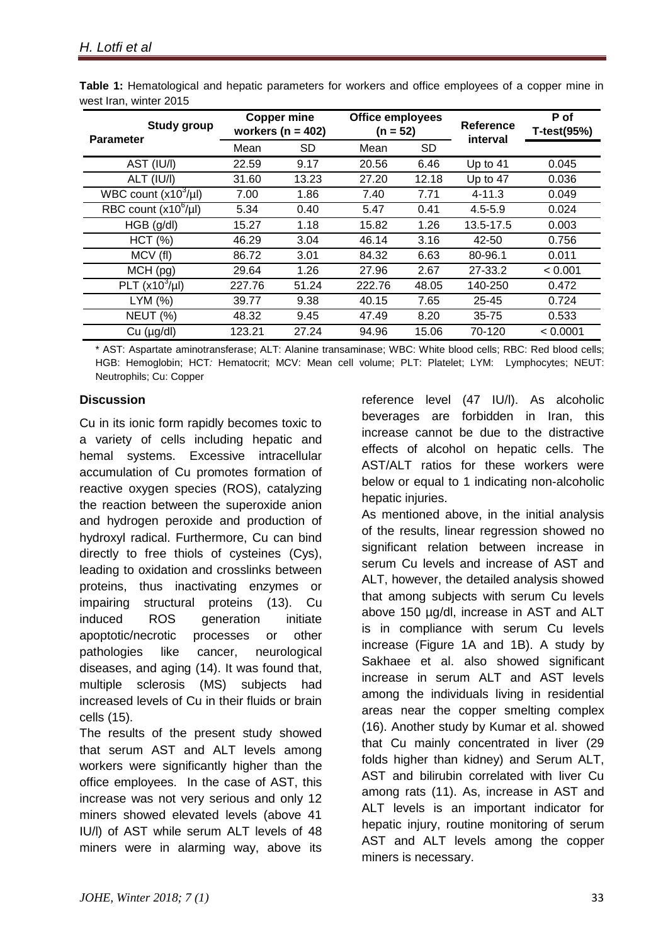| <b>Study group</b><br><b>Parameter</b> | <b>Copper mine</b><br>workers ( $n = 402$ ) |           | <b>Office employees</b><br>$(n = 52)$ |           | Reference<br>interval | P of<br>T-test(95%) |
|----------------------------------------|---------------------------------------------|-----------|---------------------------------------|-----------|-----------------------|---------------------|
|                                        | Mean                                        | <b>SD</b> | Mean                                  | <b>SD</b> |                       |                     |
| AST (IU/I)                             | 22.59                                       | 9.17      | 20.56                                 | 6.46      | Up to 41              | 0.045               |
| ALT (IU/I)                             | 31.60                                       | 13.23     | 27.20                                 | 12.18     | Up to 47              | 0.036               |
| WBC count $(x10^3/\mu l)$              | 7.00                                        | 1.86      | 7.40                                  | 7.71      | $4 - 11.3$            | 0.049               |
| RBC count $(x10^6/\mu l)$              | 5.34                                        | 0.40      | 5.47                                  | 0.41      | $4.5 - 5.9$           | 0.024               |
| HGB (g/dl)                             | 15.27                                       | 1.18      | 15.82                                 | 1.26      | 13.5-17.5             | 0.003               |
| HCT (%)                                | 46.29                                       | 3.04      | 46.14                                 | 3.16      | 42-50                 | 0.756               |
| MCV (fl)                               | 86.72                                       | 3.01      | 84.32                                 | 6.63      | 80-96.1               | 0.011               |
| MCH (pg)                               | 29.64                                       | 1.26      | 27.96                                 | 2.67      | 27-33.2               | < 0.001             |
| PLT $(x10^3/\mu l)$                    | 227.76                                      | 51.24     | 222.76                                | 48.05     | 140-250               | 0.472               |
| LYM (%)                                | 39.77                                       | 9.38      | 40.15                                 | 7.65      | $25 - 45$             | 0.724               |
| <b>NEUT (%)</b>                        | 48.32                                       | 9.45      | 47.49                                 | 8.20      | $35 - 75$             | 0.533               |
| Cu (µg/dl)                             | 123.21                                      | 27.24     | 94.96                                 | 15.06     | 70-120                | < 0.0001            |

**Table 1:** Hematological and hepatic parameters for workers and office employees of a copper mine in west Iran, winter 2015

\* AST: Aspartate aminotransferase; ALT: Alanine transaminase; WBC: White blood cells; RBC: Red blood cells; HGB: Hemoglobin; HCT*:* Hematocrit; MCV: Mean cell volume; PLT: Platelet; LYM: Lymphocytes; NEUT: Neutrophils; Cu: Copper

## **Discussion**

Cu in its ionic form rapidly becomes toxic to a variety of cells including hepatic and hemal systems. Excessive intracellular accumulation of Cu promotes formation of reactive oxygen species (ROS), catalyzing the reaction between the superoxide anion and hydrogen peroxide and production of hydroxyl radical. Furthermore, Cu can bind directly to free thiols of cysteines (Cys), leading to oxidation and crosslinks between proteins, thus inactivating enzymes or impairing structural proteins (13). Cu induced ROS generation initiate apoptotic/necrotic processes or other pathologies like cancer, neurological diseases, and aging (14). It was found that, multiple sclerosis (MS) subjects had increased levels of Cu in their fluids or brain cells (15).

The results of the present study showed that serum AST and ALT levels among workers were significantly higher than the office employees. In the case of AST, this increase was not very serious and only 12 miners showed elevated levels (above 41 IU/l) of AST while serum ALT levels of 48 miners were in alarming way, above its

reference level (47 IU/l). As alcoholic beverages are forbidden in Iran, this increase cannot be due to the distractive effects of alcohol on hepatic cells. The AST/ALT ratios for these workers were below or equal to 1 indicating non-alcoholic hepatic injuries.

As mentioned above, in the initial analysis of the results, linear regression showed no significant relation between increase in serum Cu levels and increase of AST and ALT, however, the detailed analysis showed that among subjects with serum Cu levels above 150 µg/dl, increase in AST and ALT is in compliance with serum Cu levels increase (Figure 1A and 1B). A study by Sakhaee et al. also showed significant increase in serum ALT and AST levels among the individuals living in residential areas near the copper smelting complex (16). Another study by Kumar et al. showed that Cu mainly concentrated in liver (29 folds higher than kidney) and Serum ALT, AST and bilirubin correlated with liver Cu among rats (11). As, increase in AST and ALT levels is an important indicator for hepatic injury, routine monitoring of serum AST and ALT levels among the copper miners is necessary.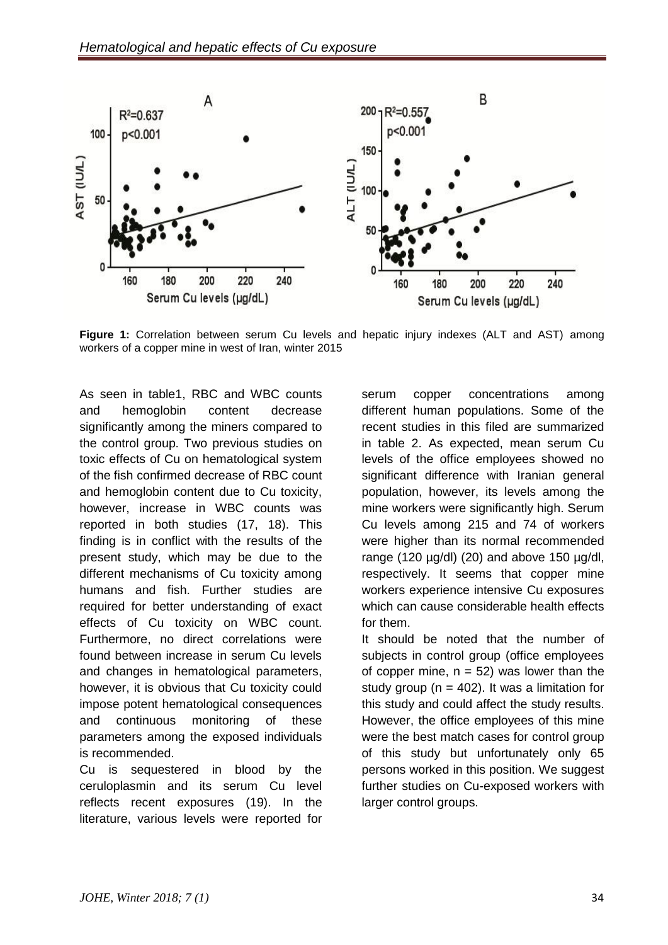

**Figure 1:** Correlation between serum Cu levels and hepatic injury indexes (ALT and AST) among workers of a copper mine in west of Iran, winter 2015

As seen in table1, RBC and WBC counts and hemoglobin content decrease significantly among the miners compared to the control group. Two previous studies on toxic effects of Cu on hematological system of the fish confirmed decrease of RBC count and hemoglobin content due to Cu toxicity, however, increase in WBC counts was reported in both studies (17, 18). This finding is in conflict with the results of the present study, which may be due to the different mechanisms of Cu toxicity among humans and fish. Further studies are required for better understanding of exact effects of Cu toxicity on WBC count. Furthermore, no direct correlations were found between increase in serum Cu levels and changes in hematological parameters, however, it is obvious that Cu toxicity could impose potent hematological consequences and continuous monitoring of these parameters among the exposed individuals is recommended.

Cu is sequestered in blood by the ceruloplasmin and its serum Cu level reflects recent exposures (19). In the literature, various levels were reported for

serum copper concentrations among different human populations. Some of the recent studies in this filed are summarized in table 2. As expected, mean serum Cu levels of the office employees showed no significant difference with Iranian general population, however, its levels among the mine workers were significantly high. Serum Cu levels among 215 and 74 of workers were higher than its normal recommended range (120  $\mu$ g/dl) (20) and above 150  $\mu$ g/dl, respectively. It seems that copper mine workers experience intensive Cu exposures which can cause considerable health effects for them.

It should be noted that the number of subjects in control group (office employees of copper mine,  $n = 52$ ) was lower than the study group ( $n = 402$ ). It was a limitation for this study and could affect the study results. However, the office employees of this mine were the best match cases for control group of this study but unfortunately only 65 persons worked in this position. We suggest further studies on Cu-exposed workers with larger control groups.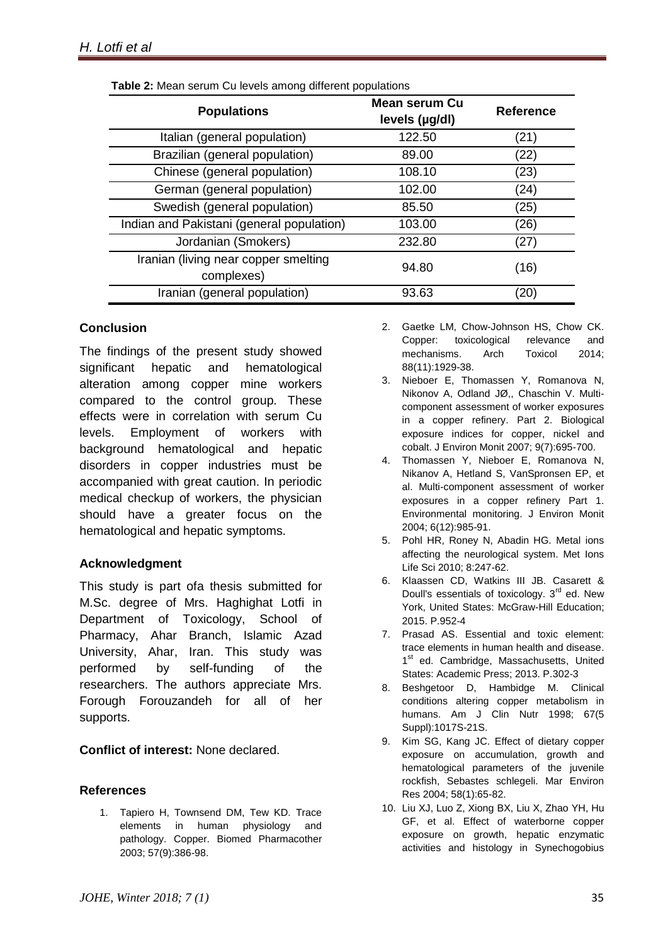| <b>Populations</b>                                 | Mean serum Cu<br>levels (µg/dl) | <b>Reference</b> |
|----------------------------------------------------|---------------------------------|------------------|
| Italian (general population)                       | 122.50                          | (21)             |
| Brazilian (general population)                     | 89.00                           | (22)             |
| Chinese (general population)                       | 108.10                          | (23)             |
| German (general population)                        | 102.00                          | (24)             |
| Swedish (general population)                       | 85.50                           | (25)             |
| Indian and Pakistani (general population)          | 103.00                          | (26)             |
| Jordanian (Smokers)                                | 232.80                          | (27)             |
| Iranian (living near copper smelting<br>complexes) | 94.80                           | (16)             |
| Iranian (general population)                       | 93.63                           | (20)             |

**Table 2:** Mean serum Cu levels among different populations

## **Conclusion**

The findings of the present study showed significant hepatic and hematological alteration among copper mine workers compared to the control group. These effects were in correlation with serum Cu levels. Employment of workers with background hematological and hepatic disorders in copper industries must be accompanied with great caution. In periodic medical checkup of workers, the physician should have a greater focus on the hematological and hepatic symptoms.

## **Acknowledgment**

This study is part ofa thesis submitted for M.Sc. degree of Mrs. Haghighat Lotfi in Department of Toxicology, School of Pharmacy, Ahar Branch, Islamic Azad University, Ahar, Iran. This study was performed by self-funding of the researchers. The authors appreciate Mrs. Forough Forouzandeh for all of her supports.

**Conflict of interest:** None declared.

## **References**

1. Tapiero H, Townsend DM, Tew KD. Trace elements in human physiology and pathology. Copper. Biomed Pharmacother 2003; 57(9):386-98.

- 2. Gaetke LM, Chow-Johnson HS, Chow CK. Copper: toxicological relevance and mechanisms. Arch Toxicol 2014; 88(11):1929-38.
- 3. Nieboer E, Thomassen Y, Romanova N, Nikonov A, Odland [JØ,](https://www.ncbi.nlm.nih.gov/pubmed/?term=Odland%20J%C3%98%5BAuthor%5D&cauthor=true&cauthor_uid=17607390), Chaschin V. Multicomponent assessment of worker exposures in a copper refinery. Part 2. Biological exposure indices for copper, nickel and cobalt. J Environ Monit 2007; 9(7):695-700.
- 4. Thomassen Y, Nieboer E, Romanova N, Nikanov A, Hetland S, VanSpronsen EP, et al. Multi-component assessment of worker exposures in a copper refinery Part 1. Environmental monitoring. J Environ Monit 2004; 6(12):985-91.
- 5. Pohl HR, Roney N, Abadin HG. Metal ions affecting the neurological system. Met Ions Life Sci 2010; 8:247-62.
- 6. Klaassen CD, Watkins III JB. Casarett & Doull's essentials of toxicology.  $3<sup>rd</sup>$  ed. New York, United States: McGraw-Hill Education; 2015. P.952-4
- 7. Prasad AS. Essential and toxic element: trace elements in human health and disease. 1<sup>st</sup> ed. [Cambridge, Massachusetts,](https://en.wikipedia.org/wiki/Cambridge,_Massachusetts) United [States:](https://en.wikipedia.org/wiki/United_States) Academic Press; 2013. P.302-3
- 8. Beshgetoor D, Hambidge M. Clinical conditions altering copper metabolism in humans. Am J Clin Nutr 1998; 67(5 Suppl):1017S-21S.
- 9. Kim SG, Kang JC. Effect of dietary copper exposure on accumulation, growth and hematological parameters of the juvenile rockfish, Sebastes schlegeli. Mar Environ Res 2004; 58(1):65-82.
- 10. Liu XJ, Luo Z, Xiong BX, Liu X, Zhao YH, Hu GF, et al. Effect of waterborne copper exposure on growth, hepatic enzymatic activities and histology in Synechogobius